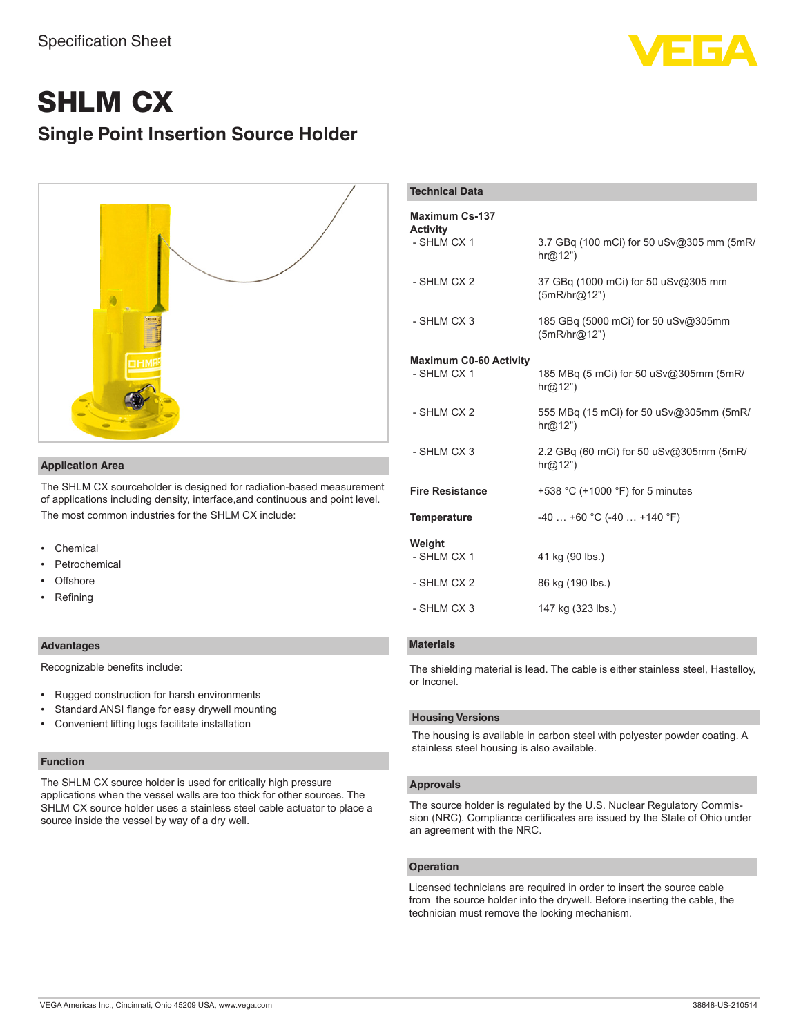

# SHLM CX **Single Point Insertion Source Holder**



## **Application Area**

The SHLM CX sourceholder is designed for radiation-based measurement of applications including density, interface,and continuous and point level. The most common industries for the SHLM CX include:

- **Chemical**
- **Petrochemical**
- **Offshore**
- **Refining**

## **Advantages**

Recognizable benefits include:

- Rugged construction for harsh environments
- Standard ANSI flange for easy drywell mounting
- Convenient lifting lugs facilitate installation

#### **Function**

The SHLM CX source holder is used for critically high pressure applications when the vessel walls are too thick for other sources. The SHLM CX source holder uses a stainless steel cable actuator to place a source inside the vessel by way of a dry well.

| <b>Technical Data</b>             |                                                      |
|-----------------------------------|------------------------------------------------------|
| Maximum Cs-137<br><b>Activity</b> |                                                      |
| - SHLM CX 1                       | 3.7 GBq (100 mCi) for 50 uSv@305 mm (5mR/<br>hr@12") |
| - SHLM CX 2                       | 37 GBq (1000 mCi) for 50 uSv@305 mm<br>(5mR/hr@12")  |
| - SHLM CX 3                       | 185 GBq (5000 mCi) for 50 uSv@305mm<br>(5mR/hr@12")  |
| <b>Maximum C0-60 Activity</b>     |                                                      |
| - SHLM CX 1                       | 185 MBq (5 mCi) for 50 uSv@305mm (5mR/<br>hr@12")    |
| - SHLM CX 2                       | 555 MBq (15 mCi) for 50 uSv@305mm (5mR/<br>hr@12")   |
| - SHLM CX 3                       | 2.2 GBq (60 mCi) for 50 uSv@305mm (5mR/<br>hr@12")   |
| <b>Fire Resistance</b>            | +538 °C (+1000 °F) for 5 minutes                     |
| <b>Temperature</b>                | $-40$ +60 °C (-40  +140 °F)                          |
| Weight                            |                                                      |
| - SHLM CX 1                       | 41 kg (90 lbs.)                                      |
| - SHLM CX 2                       | 86 kg (190 lbs.)                                     |
| - SHLM CX 3                       | 147 kg (323 lbs.)                                    |

## **Materials**

The shielding material is lead. The cable is either stainless steel, Hastelloy, or Inconel.

#### **Housing Versions**

The housing is available in carbon steel with polyester powder coating. A stainless steel housing is also available.

#### **Approvals**

The source holder is regulated by the U.S. Nuclear Regulatory Commission (NRC). Compliance certificates are issued by the State of Ohio under an agreement with the NRC.

#### **Operation**

Licensed technicians are required in order to insert the source cable from the source holder into the drywell. Before inserting the cable, the technician must remove the locking mechanism.